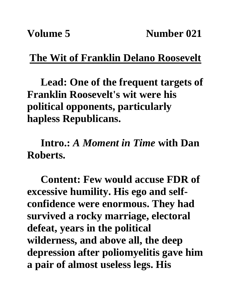## **The Wit of Franklin Delano Roosevelt**

**Lead: One of the frequent targets of Franklin Roosevelt's wit were his political opponents, particularly hapless Republicans.** 

**Intro.:** *A Moment in Time* **with Dan Roberts.**

**Content: Few would accuse FDR of excessive humility. His ego and selfconfidence were enormous. They had survived a rocky marriage, electoral defeat, years in the political wilderness, and above all, the deep depression after poliomyelitis gave him a pair of almost useless legs. His**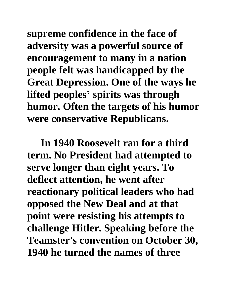**supreme confidence in the face of adversity was a powerful source of encouragement to many in a nation people felt was handicapped by the Great Depression. One of the ways he lifted peoples' spirits was through humor. Often the targets of his humor were conservative Republicans.**

**In 1940 Roosevelt ran for a third term. No President had attempted to serve longer than eight years. To deflect attention, he went after reactionary political leaders who had opposed the New Deal and at that point were resisting his attempts to challenge Hitler. Speaking before the Teamster's convention on October 30, 1940 he turned the names of three**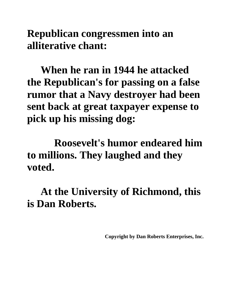**Republican congressmen into an alliterative chant:**

**When he ran in 1944 he attacked the Republican's for passing on a false rumor that a Navy destroyer had been sent back at great taxpayer expense to pick up his missing dog:**

**Roosevelt's humor endeared him to millions. They laughed and they voted.**

**At the University of Richmond, this is Dan Roberts.**

**Copyright by Dan Roberts Enterprises, Inc.**